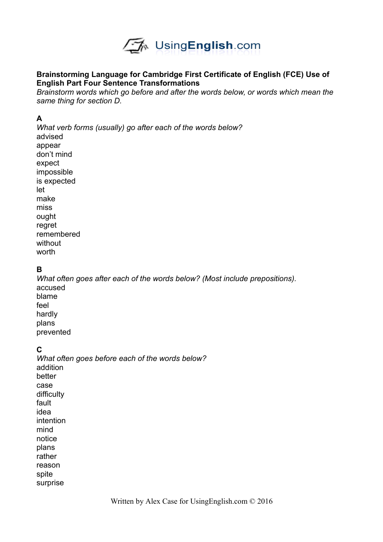

#### **Brainstorming Language for Cambridge First Certificate of English (FCE) Use of English Part Four Sentence Transformations**

*Brainstorm words which go before and after the words below, or words which mean the same thing for section D.*

#### **A**

*What verb forms (usually) go after each of the words below?* advised appear don't mind expect impossible is expected let make miss ought regret remembered

without worth

### **B**

*What often goes after each of the words below? (Most include prepositions).*  accused blame feel hardly plans prevented

### **C**

*What often goes before each of the words below?* addition better case difficulty fault idea intention mind notice plans rather reason spite surprise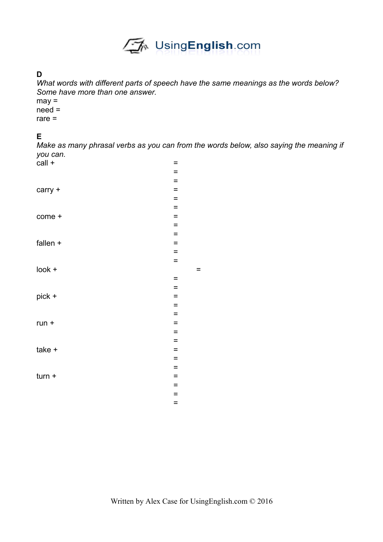

# **D**

*What words with different parts of speech have the same meanings as the words below? Some have more than one answer.* 

may = need =

rare =

# **E**

*Make as many phrasal verbs as you can from the words below, also saying the meaning if you can.*   $\text{call } +$   $=$ 

| -          |          |     |
|------------|----------|-----|
|            | $=$      |     |
|            | $=$      |     |
| carry +    | $=$      |     |
|            | $=$      |     |
|            | $\equiv$ |     |
| come +     | $=$      |     |
|            | $=$      |     |
|            | $=$      |     |
| fallen $+$ | $\equiv$ |     |
|            | $=$      |     |
|            | $=$      |     |
| look +     |          | $=$ |
|            | $\equiv$ |     |
|            | $=$      |     |
| pick +     | $=$      |     |
|            | $=$      |     |
|            | $=$      |     |
| $run +$    | $=$      |     |
|            | $=$      |     |
|            | $=$      |     |
| take +     | $=$      |     |
|            | $=$      |     |
|            | $=$      |     |
| $turn +$   | $=$      |     |
|            | $\equiv$ |     |
|            | $=$      |     |
|            | $=$      |     |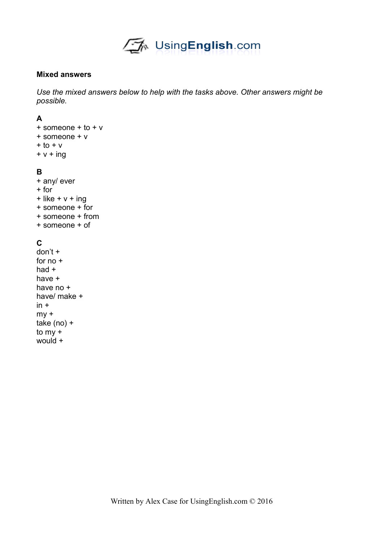

#### **Mixed answers**

*Use the mixed answers below to help with the tasks above. Other answers might be possible.* 

#### **A**

+ someone + to + v + someone + v  $+$  to  $+$  v  $+ v + ing$ 

#### **B**

+ any/ ever + for  $+$  like  $+ v +$  ing + someone + for + someone + from + someone + of

## **C**

don't + for no + had + have + have no + have/ make +  $in +$  $mv +$ take (no) + to my + would +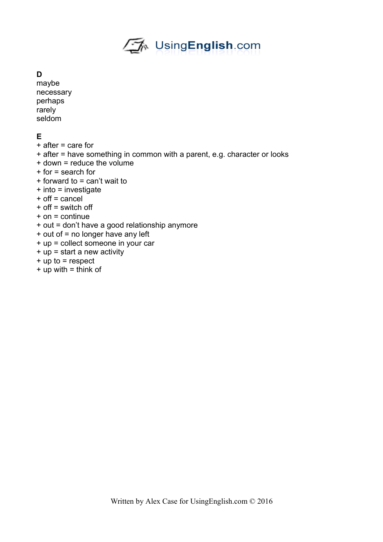

#### **D**

maybe necessary perhaps rarely seldom

## **E**

- + after = care for
- + after = have something in common with a parent, e.g. character or looks
- + down = reduce the volume
- + for = search for
- + forward to = can't wait to
- + into = investigate
- + off = cancel
- + off = switch off
- + on = continue
- + out = don't have a good relationship anymore
- + out of = no longer have any left
- + up = collect someone in your car
- + up = start a new activity
- + up to = respect
- $+$  up with  $=$  think of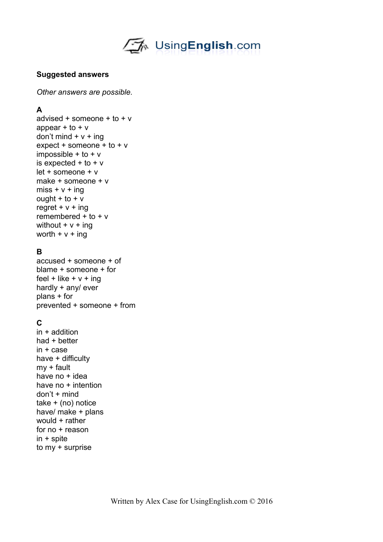√<‰ UsingEnglish.com

#### **Suggested answers**

*Other answers are possible.* 

## **A**

advised  $+$  someone  $+$  to  $+$  v appear  $+$  to  $+$  v don't mind  $+ v + ing$  $expect + someone + to + v$ impossible  $+$  to  $+$  v is expected  $+$  to  $+$  v let + someone + v make + someone + v  $miss + v + ing$ ought  $+$  to  $+$  v regret  $+ v + ing$ remembered + to + v without  $+ v + ina$ worth  $+ v + ing$ 

## **B**

accused + someone + of blame + someone + for feel + like  $+ v + inq$ hardly + any/ ever plans + for prevented + someone + from

# **C**

in + addition had + better in + case have + difficulty my + fault have no + idea have no + intention  $don't + mind$ take + (no) notice have/ make + plans would + rather for no + reason in + spite to my + surprise